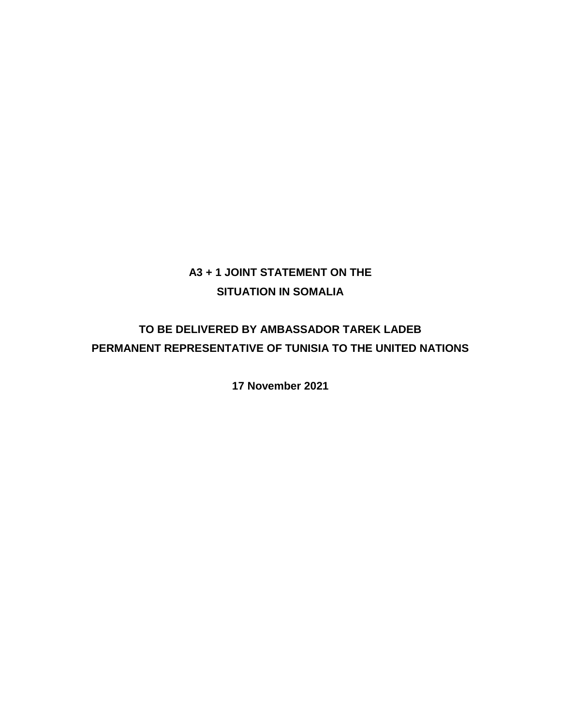## **A3 + 1 JOINT STATEMENT ON THE SITUATION IN SOMALIA**

# **TO BE DELIVERED BY AMBASSADOR TAREK LADEB PERMANENT REPRESENTATIVE OF TUNISIA TO THE UNITED NATIONS**

**17 November 2021**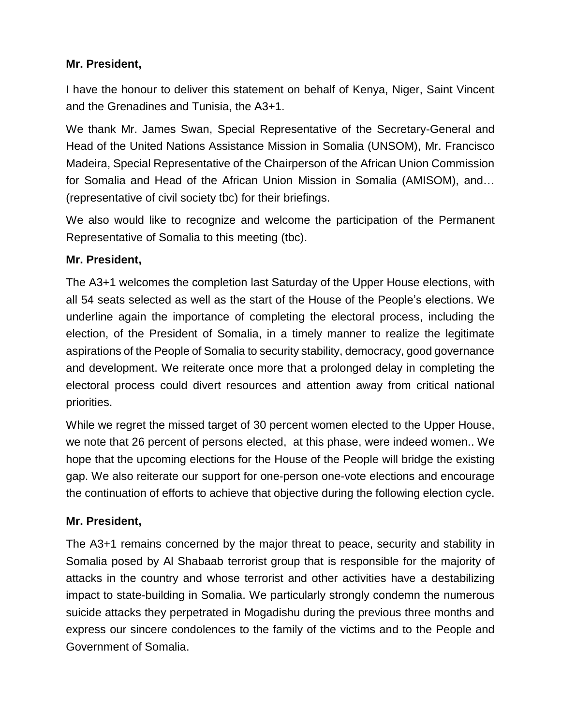### **Mr. President,**

I have the honour to deliver this statement on behalf of Kenya, Niger, Saint Vincent and the Grenadines and Tunisia, the A3+1.

We thank Mr. James Swan, Special Representative of the Secretary-General and Head of the United Nations Assistance Mission in Somalia (UNSOM), Mr. Francisco Madeira, Special Representative of the Chairperson of the African Union Commission for Somalia and Head of the African Union Mission in Somalia (AMISOM), and… (representative of civil society tbc) for their briefings.

We also would like to recognize and welcome the participation of the Permanent Representative of Somalia to this meeting (tbc).

#### **Mr. President,**

The A3+1 welcomes the completion last Saturday of the Upper House elections, with all 54 seats selected as well as the start of the House of the People's elections. We underline again the importance of completing the electoral process, including the election, of the President of Somalia, in a timely manner to realize the legitimate aspirations of the People of Somalia to security stability, democracy, good governance and development. We reiterate once more that a prolonged delay in completing the electoral process could divert resources and attention away from critical national priorities.

While we regret the missed target of 30 percent women elected to the Upper House, we note that 26 percent of persons elected, at this phase, were indeed women.. We hope that the upcoming elections for the House of the People will bridge the existing gap. We also reiterate our support for one-person one-vote elections and encourage the continuation of efforts to achieve that objective during the following election cycle.

#### **Mr. President,**

The A3+1 remains concerned by the major threat to peace, security and stability in Somalia posed by Al Shabaab terrorist group that is responsible for the majority of attacks in the country and whose terrorist and other activities have a destabilizing impact to state-building in Somalia. We particularly strongly condemn the numerous suicide attacks they perpetrated in Mogadishu during the previous three months and express our sincere condolences to the family of the victims and to the People and Government of Somalia.